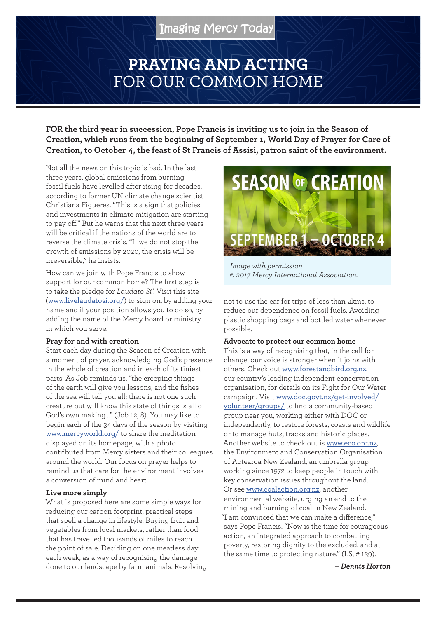# **PRAYING AND ACTING**  FOR OUR COMMON HOME

**FOR the third year in succession, Pope Francis is inviting us to join in the Season of Creation, which runs from the beginning of September 1, World Day of Prayer for Care of Creation, to October 4, the feast of St Francis of Assisi, patron saint of the environment.**

Not all the news on this topic is bad. In the last three years, global emissions from burning fossil fuels have levelled after rising for decades, according to former UN climate change scientist Christiana Figueres. "This is a sign that policies and investments in climate mitigation are starting to pay off." But he warns that the next three years will be critical if the nations of the world are to reverse the climate crisis. "If we do not stop the growth of emissions by 2020, the crisis will be irreversible," he insists.

How can we join with Pope Francis to show support for our common home? The first step is to take the pledge for *Laudato Si'*. Visit this site (www.livelaudatosi.org/) to sign on, by adding your name and if your position allows you to do so, by adding the name of the Mercy board or ministry in which you serve.

#### **Pray for and with creation**

Start each day during the Season of Creation with a moment of prayer, acknowledging God's presence in the whole of creation and in each of its tiniest parts. As Job reminds us, "the creeping things of the earth will give you lessons, and the fishes of the sea will tell you all; there is not one such creature but will know this state of things is all of God's own making…" (Job 12, 8). You may like to begin each of the 34 days of the season by visiting www.mercyworld.org/ to share the meditation displayed on its homepage, with a photo contributed from Mercy sisters and their colleagues around the world. Our focus on prayer helps to remind us that care for the environment involves a conversion of mind and heart.

#### **Live more simply**

What is proposed here are some simple ways for reducing our carbon footprint, practical steps that spell a change in lifestyle. Buying fruit and vegetables from local markets, rather than food that has travelled thousands of miles to reach the point of sale. Deciding on one meatless day each week, as a way of recognising the damage done to our landscape by farm animals. Resolving



*Image with permission © 2017 Mercy International Association.*

not to use the car for trips of less than 2kms, to reduce our dependence on fossil fuels. Avoiding plastic shopping bags and bottled water whenever possible.

#### **Advocate to protect our common home**

This is a way of recognising that, in the call for change, our voice is stronger when it joins with others. Check out www.forestandbird.org.nz, our country's leading independent conservation organisation, for details on its Fight for Our Water campaign. Visit www.doc.govt.nz/get-involved/ volunteer/groups/ to find a community-based group near you, working either with DOC or independently, to restore forests, coasts and wildlife or to manage huts, tracks and historic places. Another website to check out is www.eco.org.nz, the Environment and Conservation Organisation of Aotearoa New Zealand, an umbrella group working since 1972 to keep people in touch with key conservation issues throughout the land. Or see www.coalaction.org.nz, another environmental website, urging an end to the mining and burning of coal in New Zealand. "I am convinced that we can make a difference," says Pope Francis. "Now is the time for courageous action, an integrated approach to combatting poverty, restoring dignity to the excluded, and at the same time to protecting nature." (LS, # 139).

*– Dennis Horton*